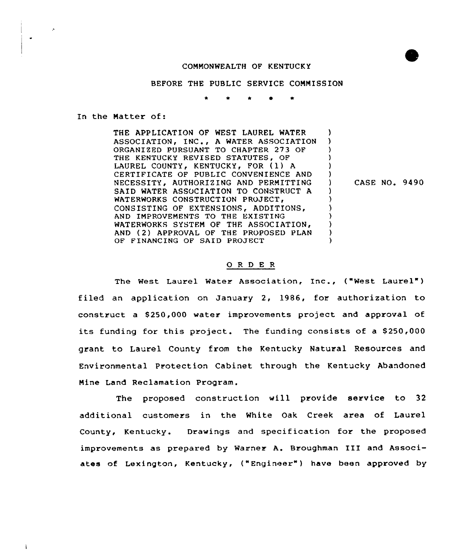## CONNONWEALTH OF KENTUCKY



### BEFORE THE PUBLIC SERVICE CONNISSION

In the Natter of:

THE APPLICATIOM OF WEST LAUREL WATFR ASSOCIATION, INC,, <sup>A</sup> WATER ASSOCIATION ORGANIZED PURSUANT TO CHAPTER 273 OF THE KENTUCKY REVISED STATUTES, OF LAUREL COUNTY, KENTUCKY, FOR (1) A CERTIFICATE OF PUBLIC CONVENIENCE AND NECESSITY, AUTHORIZING AND PERMITTING SAID WATER ASSOCIATION TO CONSTRUCT A WATERWORKS CONSTRUCTION PROJECT, CONSISTING OF EXTENSIONS, ADDITIONS, AND INPROVEMENTS TO THE EXISTING WATERWORKS SYSTEM OF THE ASSOCIATION. AND (2) APPROVAL OF THE PROPOSED PLAN OF FINANCING OF SAID PROJECT ) ) ) ) ) ) ) CASE NO. 9490 ) ) ) ) ) )

### 0 <sup>R</sup> <sup>D</sup> E <sup>R</sup>

The West Laurel Water Association, Inc., ("West Laurel" ) filed an application on January 2, 1986, for authorization to construct a \$ 250,000 water improvements project and approval of its funding for this project. The funding consists of a \$250,000 grant to Laurel County from the Kentucky Natural Resources and Environmental Protection Cabinet through the Kentucky Abandoned Nine Land Reclamation Program.

The proposed construction vill provide service to 32 additional customers in the White Oak Creek area of Laurel County, Kentucky. Drawings and specification for the proposed improvements as prepared by Warner A. Broughman III and Associates of Lexington, Kentucky, ("Engineer" ) have been approved by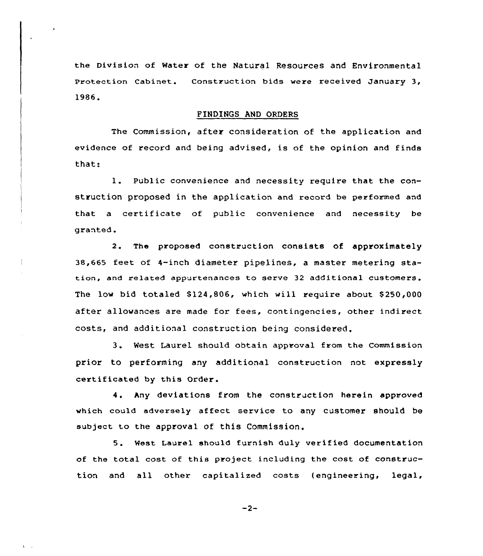the Division of water of the Natural Resources and Environmental Protection Cabinet. Construction bids were received January 3, 1986.

## FINDINGS AND ORDERS

The Commission, after consideration of the application and evidence of record and being advised, is of the opinion and finds that:

1. Public convenience and necessity require that the construction proposed in the application and record be performed and that <sup>a</sup> certificate of public convenience and necessity be granted.

2. The proposed construction consists of approximately 38,665 feet of 4-inch diameter pipelines, <sup>a</sup> master metering station, and related appurtenances to serve 32 additional customers. The low bid totaled \$124,806, which will require about \$250,000 after allowances are made for fees, contingencies, other indirect costs, and additional construction being considered.

3. West Laurel should obtain approval from the Commission prior to performing any additional construction not expressly certificated by this Order.

4. hny deviations from the construction herein approved which could adversely affect service to any customer should be subject to the approval of this Commission.

5. West Laurel should furnish duly verified documentation of the total cost of this project including the cost of construction and all other capitalized costs (engineering, legal,

 $-2-$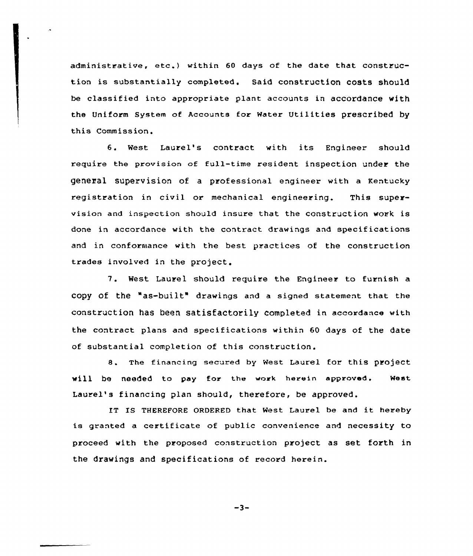administrative, etc.) within 60 days of the date that construction is substantially completed. Said construction costs should be classified into appropriate plant accounts in accordance with the Uniform System of Accounts for water Utilities prescribed by this Commission.

6. West Laurel's contract with its Engineer should require the provision of full-time resident inspection under the general supervision of a professional engineer with a Kentucky registration in civil or mechanical engineering. This supervision and inspection should insure that the construction work is done in accordance with the contract drawings and specifications and in conformance with the best practices of the construction trades involved in the project.

7. West Laurel should require the Engineer to furnish <sup>a</sup> copy of the "as-built" drawings and <sup>a</sup> signed statement that the construction has been satisfactorily completed in accordance with the contract plans and specifications within 60 days of the date of substantial completion of this construction.

8. The financing secured by West Laurel for this project will be needed to pay for the work herein approved. West Laurel's financing plan should, therefore, be approved.

IT IS THEREFORE ORDERED that West Laurel be and it hereby is granted a certificate of public convenience and necessity to proceed with the proposed construction project as set forth in the drawings and specifications of record herein.

 $-3-$